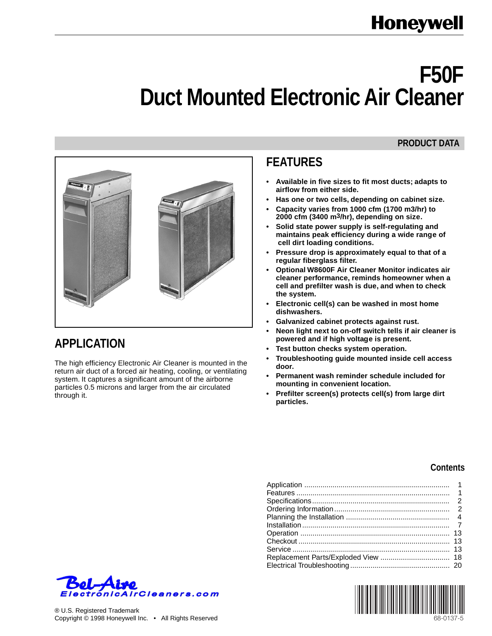# **F50F Duct Mounted Electronic Air Cleaner**

#### **PRODUCT DATA**



# **APPLICATION**

The high efficiency Electronic Air Cleaner is mounted in the return air duct of a forced air heating, cooling, or ventilating system. It captures a significant amount of the airborne particles 0.5 microns and larger from the air circulated through it.

# **FEATURES**

- **Available in five sizes to fit most ducts; adapts to airflow from either side.**
- **Has one or two cells, depending on cabinet size.**
- **Capacity varies from 1000 cfm (1700 m3/hr) to 2000 cfm (3400 m3/hr), depending on size.**
- **Solid state power supply is self-regulating and maintains peak efficiency during a wide range of cell dirt loading conditions.**
- **Pressure drop is approximately equal to that of a regular fiberglass filter.**
- **Optional W8600F Air Cleaner Monitor indicates air cleaner performance, reminds homeowner when a cell and prefilter wash is due, and when to check the system.**
- **Electronic cell(s) can be washed in most home dishwashers.**
- **Galvanized cabinet protects against rust.**
- **Neon light next to on-off switch tells if air cleaner is powered and if high voltage is present.**
- **Test button checks system operation.**
- **Troubleshooting guide mounted inside cell access door.**
- **Permanent wash reminder schedule included for mounting in convenient location.**
- **Prefilter screen(s) protects cell(s) from large dirt particles.**

#### **Contents**



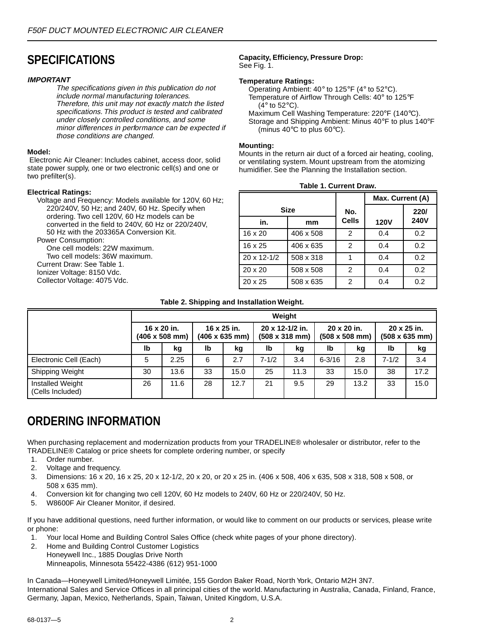# <span id="page-1-0"></span>**SPECIFICATIONS**

#### **IMPORTANT**

The specifications given in this publication do not include normal manufacturing tolerances. Therefore, this unit may not exactly match the listed specifications. This product is tested and calibrated under closely controlled conditions, and some minor differences in performance can be expected if those conditions are changed.

#### **Model:**

 Electronic Air Cleaner: Includes cabinet, access door, solid state power supply, one or two electronic cell(s) and one or two prefilter(s).

#### **Electrical Ratings:**

Voltage and Frequency: Models available for 120V, 60 Hz; 220/240V, 50 Hz; and 240V, 60 Hz. Specify when ordering. Two cell 120V, 60 Hz models can be converted in the field to 240V, 60 Hz or 220/240V, 50 Hz with the 203365A Conversion Kit. Power Consumption:

One cell models: 22W maximum. Two cell models: 36W maximum. Current Draw: See Table 1. Ionizer Voltage: 8150 Vdc. Collector Voltage: 4075 Vdc.

#### **Capacity, Efficiency, Pressure Drop:** See Fig. 1.

#### **Temperature Ratings:**

Operating Ambient: 40° to 125°F (4° to 52°C). Temperature of Airflow Through Cells: 40° to 125°F (4° to 52°C). Maximum Cell Washing Temperature: 220°F (140°C).

Storage and Shipping Ambient: Minus 40°F to plus 140°F (minus 40°C to plus 60°C).

#### **Mounting:**

Mounts in the return air duct of a forced air heating, cooling, or ventilating system. Mount upstream from the atomizing humidifier. See the Planning the Installation section.

| <b>Table 1. Current Draw.</b> |           |              |                  |             |  |  |  |  |
|-------------------------------|-----------|--------------|------------------|-------------|--|--|--|--|
|                               |           |              | Max. Current (A) |             |  |  |  |  |
| <b>Size</b>                   | No.       |              | 220/             |             |  |  |  |  |
| in.                           | mm        | <b>Cells</b> | <b>120V</b>      | <b>240V</b> |  |  |  |  |
| 16 x 20                       | 406 x 508 | 2            | 0.4              | 0.2         |  |  |  |  |
| 16 x 25                       | 406 x 635 | 2            | 0.4              | 0.2         |  |  |  |  |
| $20 \times 12 - 1/2$          | 508 x 318 | 1            | 0.4              | 0.2         |  |  |  |  |
| $20 \times 20$                | 508 x 508 | 2            | 0.4              | 0.2         |  |  |  |  |
| $20 \times 25$                | 508 x 635 | 2            | 0.4              | 0.2         |  |  |  |  |

### **Table 2. Shipping and Installation Weight.**

|                                      | Weight |                                              |    |                                                                                                  |           |                                              |            |                                              |           |      |
|--------------------------------------|--------|----------------------------------------------|----|--------------------------------------------------------------------------------------------------|-----------|----------------------------------------------|------------|----------------------------------------------|-----------|------|
|                                      |        | 16 x 20 in.<br>$(406 \times 508 \text{ mm})$ |    | 16 x 25 in.<br>20 x 12-1/2 in.<br>$(406 \times 635 \text{ mm})$<br>$(508 \times 318 \text{ mm})$ |           | 20 x 20 in.<br>$(508 \times 508 \text{ mm})$ |            | 20 x 25 in.<br>$(508 \times 635 \text{ mm})$ |           |      |
|                                      | Ib     | kg                                           | Ib | kg                                                                                               | Ib        | kg                                           | lb         | kg                                           | lb        | kg   |
| Electronic Cell (Each)               | 5      | 2.25                                         | 6  | 2.7                                                                                              | $7 - 1/2$ | 3.4                                          | $6 - 3/16$ | 2.8                                          | $7 - 1/2$ | 3.4  |
| Shipping Weight                      | 30     | 13.6                                         | 33 | 15.0                                                                                             | 25        | 11.3                                         | 33         | 15.0                                         | 38        | 17.2 |
| Installed Weight<br>(Cells Included) | 26     | 11.6                                         | 28 | 12.7                                                                                             | 21        | 9.5                                          | 29         | 13.2                                         | 33        | 15.0 |

# **ORDERING INFORMATION**

When purchasing replacement and modernization products from your TRADELINE® wholesaler or distributor, refer to the TRADELINE® Catalog or price sheets for complete ordering number, or specify

- 1. Order number.
- 2. Voltage and frequency.
- 3. Dimensions: 16 x 20, 16 x 25, 20 x 12-1/2, 20 x 20, or 20 x 25 in. (406 x 508, 406 x 635, 508 x 318, 508 x 508, or 508 x 635 mm).
- 4. Conversion kit for changing two cell 120V, 60 Hz models to 240V, 60 Hz or 220/240V, 50 Hz.
- 5. W8600F Air Cleaner Monitor, if desired.

If you have additional questions, need further information, or would like to comment on our products or services, please write or phone:

- 1. Your local Home and Building Control Sales Office (check white pages of your phone directory).
- 2. Home and Building Control Customer Logistics Honeywell Inc., 1885 Douglas Drive North Minneapolis, Minnesota 55422-4386 (612) 951-1000

In Canada—Honeywell Limited/Honeywell Limitée, 155 Gordon Baker Road, North York, Ontario M2H 3N7. International Sales and Service Offices in all principal cities of the world. Manufacturing in Australia, Canada, Finland, France, Germany, Japan, Mexico, Netherlands, Spain, Taiwan, United Kingdom, U.S.A.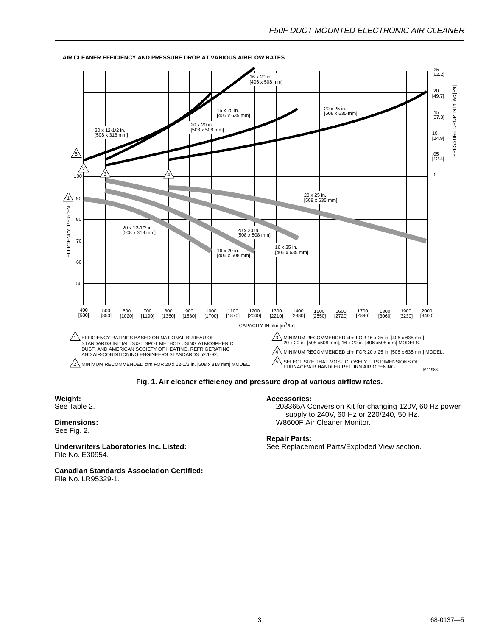

#### **AIR CLEANER EFFICIENCY AND PRESSURE DROP AT VARIOUS AIRFLOW RATES.**

**Fig. 1. Air cleaner efficiency and pressure drop at various airflow rates.**

#### **Weight:** See Table 2.

#### **Dimensions:** See Fig. 2.

**Underwriters Laboratories Inc. Listed:** File No. E30954.

**Canadian Standards Association Certified:** File No. LR95329-1.

#### **Accessories:**

203365A Conversion Kit for changing 120V, 60 Hz power supply to 240V, 60 Hz or 220/240, 50 Hz. W8600F Air Cleaner Monitor.

#### **Repair Parts:**

See Replacement Parts/Exploded View section.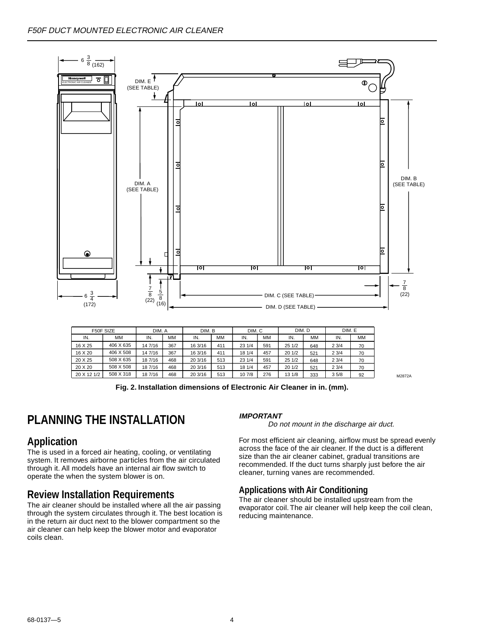<span id="page-3-0"></span>

|             | F50F SIZE | DIM. A  |     | DIM. B  |     | DIM. C |     | DIM. D |           | DIM. E |    |
|-------------|-----------|---------|-----|---------|-----|--------|-----|--------|-----------|--------|----|
| IN.         | ΜМ        | IN.     | MМ  | IN.     | MМ  | IN.    | MM  | IN.    | <b>MM</b> | IN.    | MМ |
| 16 X 25     | 406 X 635 | 14 7/16 | 367 | 16 3/16 | 411 | 231/4  | 591 | 25 1/2 | 648       | 23/4   | 70 |
| 16 X 20     | 406 X 508 | 14 7/16 | 367 | 16 3/16 | 411 | 18 1/4 | 457 | 201/2  | 521       | 23/4   | 70 |
| 20 X 25     | 508 X 635 | 18 7/16 | 468 | 20 3/16 | 513 | 23 1/4 | 591 | 25 1/2 | 648       | 23/4   | 70 |
| 20 X 20     | 508 X 508 | 18 7/16 | 468 | 20 3/16 | 513 | 18 1/4 | 457 | 201/2  | 521       | 23/4   | 70 |
| 20 X 12 1/2 | 508 X 318 | 18 7/16 | 468 | 20 3/16 | 513 | 10 7/8 | 276 | 13 1/8 | 333       | 35/8   | 92 |

**Fig. 2. Installation dimensions of Electronic Air Cleaner in in. (mm).**

# **PLANNING THE INSTALLATION**

## **Application**

The is used in a forced air heating, cooling, or ventilating system. It removes airborne particles from the air circulated through it. All models have an internal air flow switch to operate the when the system blower is on.

## **Review Installation Requirements**

The air cleaner should be installed where all the air passing through the system circulates through it. The best location is in the return air duct next to the blower compartment so the air cleaner can help keep the blower motor and evaporator coils clean.

#### **IMPORTANT**

Do not mount in the discharge air duct.

For most efficient air cleaning, airflow must be spread evenly across the face of the air cleaner. If the duct is a different size than the air cleaner cabinet, gradual transitions are recommended. If the duct turns sharply just before the air cleaner, turning vanes are recommended.

#### **Applications with Air Conditioning**

The air cleaner should be installed upstream from the evaporator coil. The air cleaner will help keep the coil clean, reducing maintenance.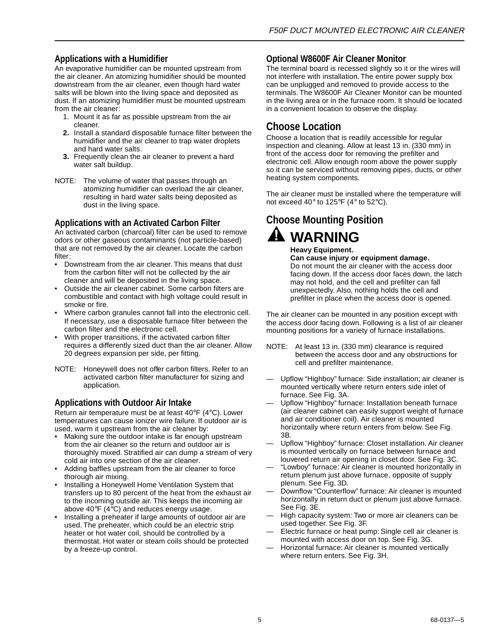### **Applications with a Humidifier**

An evaporative humidifier can be mounted upstream from the air cleaner. An atomizing humidifier should be mounted downstream from the air cleaner, even though hard water salts will be blown into the living space and deposited as dust. If an atomizing humidifier must be mounted upstream from the air cleaner:

- 1. Mount it as far as possible upstream from the air cleaner.
- **2.** Install a standard disposable furnace filter between the humidifier and the air cleaner to trap water droplets and hard water salts.
- **3.** Frequently clean the air cleaner to prevent a hard water salt buildup.
- NOTE: The volume of water that passes through an atomizing humidifier can overload the air cleaner, resulting in hard water salts being deposited as dust in the living space.

#### **Applications with an Activated Carbon Filter**

An activated carbon (charcoal) filter can be used to remove odors or other gaseous contaminants (not particle-based) that are not removed by the air cleaner. Locate the carbon filter:

- Downstream from the air cleaner. This means that dust from the carbon filter will not be collected by the air cleaner and will be deposited in the living space.
- Outside the air cleaner cabinet. Some carbon filters are combustible and contact with high voltage could result in smoke or fire.
- Where carbon granules cannot fall into the electronic cell. If necessary, use a disposable furnace filter between the carbon filter and the electronic cell.
- With proper transitions, if the activated carbon filter requires a differently sized duct than the air cleaner. Allow 20 degrees expansion per side, per fitting.
- NOTE: Honeywell does not offer carbon filters. Refer to an activated carbon filter manufacturer for sizing and application.

#### **Applications with Outdoor Air Intake**

Return air temperature must be at least 40°F (4°C). Lower temperatures can cause ionizer wire failure. If outdoor air is used, warm it upstream from the air cleaner by:

- Making sure the outdoor intake is far enough upstream from the air cleaner so the return and outdoor air is thoroughly mixed. Stratified air can dump a stream of very cold air into one section of the air cleaner.
- Adding baffles upstream from the air cleaner to force thorough air mixing.
- Installing a Honeywell Home Ventilation System that transfers up to 80 percent of the heat from the exhaust air to the incoming outside air. This keeps the incoming air above  $40^{\circ}F$  ( $4^{\circ}C$ ) and reduces energy usage.
- Installing a preheater if large amounts of outdoor air are used. The preheater, which could be an electric strip heater or hot water coil, should be controlled by a thermostat. Hot water or steam coils should be protected by a freeze-up control.

#### **Optional W8600F Air Cleaner Monitor**

The terminal board is recessed slightly so it or the wires will not interfere with installation. The entire power supply box can be unplugged and removed to provide access to the terminals. The W8600F Air Cleaner Monitor can be mounted in the living area or in the furnace room. It should be located in a convenient location to observe the display.

### **Choose Location**

Choose a location that is readily accessible for regular inspection and cleaning. Allow at least 13 in. (330 mm) in front of the access door for removing the prefilter and electronic cell. Allow enough room above the power supply so it can be serviced without removing pipes, ducts, or other heating system components.

The air cleaner must be installed where the temperature will not exceed 40° to 125°F (4° to 52°C).

# **Choose Mounting Position WARNING**

**Heavy Equipment.**

**Can cause injury or equipment damage.** Do not mount the air cleaner with the access door facing down. If the access door faces down, the latch may not hold, and the cell and prefilter can fall unexpectedly. Also, nothing holds the cell and prefilter in place when the access door is opened.

The air cleaner can be mounted in any position except with the access door facing down. Following is a list of air cleaner mounting positions for a variety of furnace installations.

- NOTE: At least 13 in. (330 mm) clearance is required between the access door and any obstructions for cell and prefilter maintenance.
- Upflow "Highboy" furnace: Side installation; air cleaner is mounted vertically where return enters side inlet of furnace. See Fig. 3A.
- Upflow "Highboy" furnace: Installation beneath furnace (air cleaner cabinet can easily support weight of furnace and air conditioner coil). Air cleaner is mounted horizontally where return enters from below. See Fig. 3B.
- Upflow "Highboy" furnace: Closet installation. Air cleaner is mounted vertically on furnace between furnace and louvered return air opening in closet door. See Fig. 3C.
- "Lowboy" furnace: Air cleaner is mounted horizontally in return plenum just above furnace, opposite of supply plenum. See Fig. 3D.
- Downflow "Counterflow" furnace: Air cleaner is mounted horizontally in return duct or plenum just above furnace. See Fig. 3E.
- High capacity system: Two or more air cleaners can be used together. See Fig. 3F.
- Electric furnace or heat pump: Single cell air cleaner is mounted with access door on top. See Fig. 3G.
- Horizontal furnace: Air cleaner is mounted vertically where return enters. See Fig. 3H.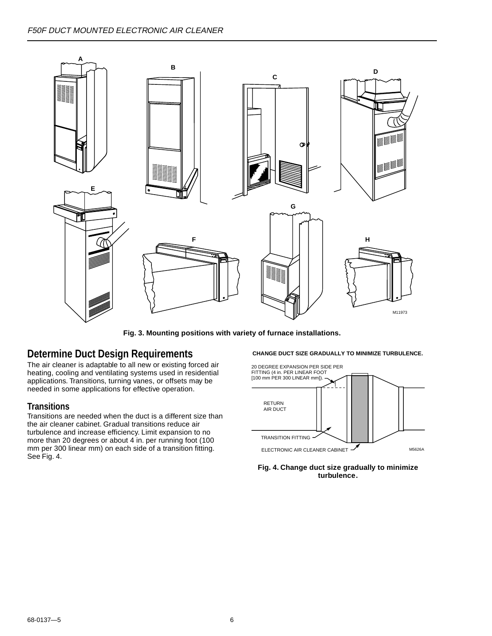

**Fig. 3. Mounting positions with variety of furnace installations.**

### **Determine Duct Design Requirements**

The air cleaner is adaptable to all new or existing forced air heating, cooling and ventilating systems used in residential applications. Transitions, turning vanes, or offsets may be needed in some applications for effective operation.

#### **Transitions**

Transitions are needed when the duct is a different size than the air cleaner cabinet. Gradual transitions reduce air turbulence and increase efficiency. Limit expansion to no more than 20 degrees or about 4 in. per running foot (100 mm per 300 linear mm) on each side of a transition fitting. See Fig. 4.

#### **CHANGE DUCT SIZE GRADUALLY TO MINIMIZE TURBULENCE.**



**Fig. 4. Change duct size gradually to minimize turbulence.**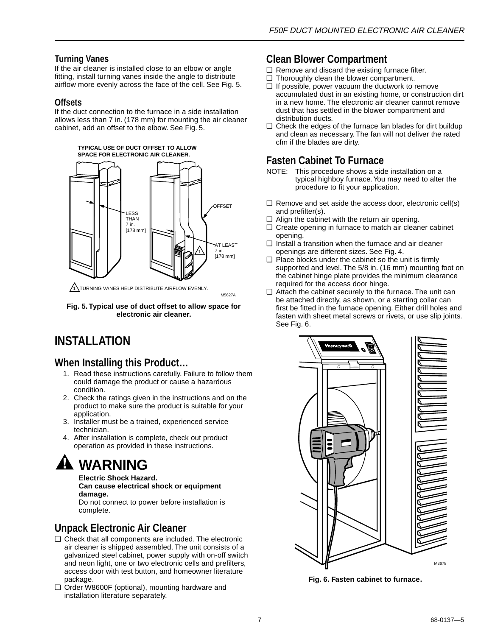### <span id="page-6-0"></span>**Turning Vanes**

If the air cleaner is installed close to an elbow or angle fitting, install turning vanes inside the angle to distribute airflow more evenly across the face of the cell. See Fig. 5.

#### **Offsets**

If the duct connection to the furnace in a side installation allows less than 7 in. (178 mm) for mounting the air cleaner cabinet, add an offset to the elbow. See Fig. 5.



 $\sqrt{1}$ TURNING VANES HELP DISTRIBUTE AIRFLOW EVENLY.

**Fig. 5. Typical use of duct offset to allow space for electronic air cleaner.**

M5627A

# **INSTALLATION**

### **When Installing this Product…**

- 1. Read these instructions carefully. Failure to follow them could damage the product or cause a hazardous condition.
- 2. Check the ratings given in the instructions and on the product to make sure the product is suitable for your application
- 3. Installer must be a trained, experienced service technician.
- 4. After installation is complete, check out product operation as provided in these instructions.

# **WARNING**

**Electric Shock Hazard.**

**Can cause electrical shock or equipment damage.**

Do not connect to power before installation is complete.

## **Unpack Electronic Air Cleaner**

- ❑ Check that all components are included. The electronic air cleaner is shipped assembled. The unit consists of a galvanized steel cabinet, power supply with on-off switch and neon light, one or two electronic cells and prefilters, access door with test button, and homeowner literature package.
- ❑ Order W8600F (optional), mounting hardware and installation literature separately.

### **Clean Blower Compartment**

- ❑ Remove and discard the existing furnace filter.
- ❑ Thoroughly clean the blower compartment.
- ❑ If possible, power vacuum the ductwork to remove accumulated dust in an existing home, or construction dirt in a new home. The electronic air cleaner cannot remove dust that has settled in the blower compartment and distribution ducts.
- ❑ Check the edges of the furnace fan blades for dirt buildup and clean as necessary. The fan will not deliver the rated cfm if the blades are dirty.

# **Fasten Cabinet To Furnace**

- NOTE: This procedure shows a side installation on a typical highboy furnace. You may need to alter the procedure to fit your application.
- ❑ Remove and set aside the access door, electronic cell(s) and prefilter(s).
- ❑ Align the cabinet with the return air opening.
- ❑ Create opening in furnace to match air cleaner cabinet opening.
- ❑ Install a transition when the furnace and air cleaner openings are different sizes. See Fig. 4.
- ❑ Place blocks under the cabinet so the unit is firmly supported and level. The 5/8 in. (16 mm) mounting foot on the cabinet hinge plate provides the minimum clearance required for the access door hinge.
- ❑ Attach the cabinet securely to the furnace. The unit can be attached directly, as shown, or a starting collar can first be fitted in the furnace opening. Either drill holes and fasten with sheet metal screws or rivets, or use slip joints. See Fig. 6.



**Fig. 6. Fasten cabinet to furnace.**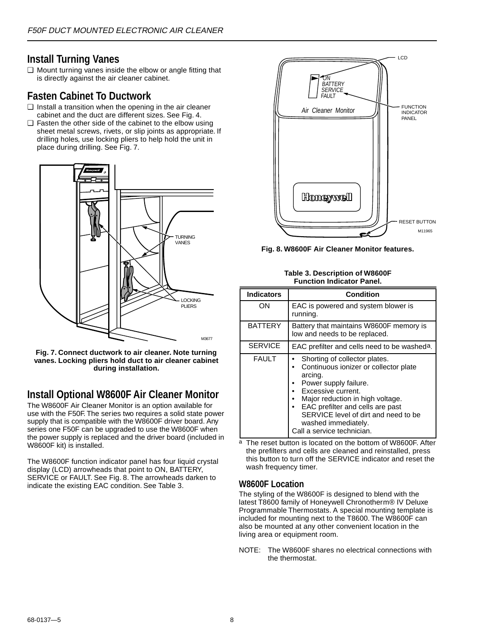### **Install Turning Vanes**

❑ Mount turning vanes inside the elbow or angle fitting that is directly against the air cleaner cabinet.

### **Fasten Cabinet To Ductwork**

- ❑ Install a transition when the opening in the air cleaner cabinet and the duct are different sizes. See Fig. 4.
- ❑ Fasten the other side of the cabinet to the elbow using sheet metal screws, rivets, or slip joints as appropriate. If drilling holes, use locking pliers to help hold the unit in place during drilling. See Fig. 7.



**Fig. 7. Connect ductwork to air cleaner. Note turning vanes. Locking pliers hold duct to air cleaner cabinet during installation.**

## **Install Optional W8600F Air Cleaner Monitor**

The W8600F Air Cleaner Monitor is an option available for use with the F50F. The series two requires a solid state power supply that is compatible with the W8600F driver board. Any series one F50F can be upgraded to use the W8600F when the power supply is replaced and the driver board (included in W8600F kit) is installed.

The W8600F function indicator panel has four liquid crystal display (LCD) arrowheads that point to ON, BATTERY, SERVICE or FAULT. See Fig. 8. The arrowheads darken to indicate the existing EAC condition. See Table 3.



**Fig. 8. W8600F Air Cleaner Monitor features.**

#### **Table 3. Description of W8600F Function Indicator Panel.**

| <b>Indicators</b> | <b>Condition</b>                                                                                                                                                                                                                                                                                      |  |  |  |  |  |  |
|-------------------|-------------------------------------------------------------------------------------------------------------------------------------------------------------------------------------------------------------------------------------------------------------------------------------------------------|--|--|--|--|--|--|
| OΝ                | EAC is powered and system blower is<br>running.                                                                                                                                                                                                                                                       |  |  |  |  |  |  |
| <b>BATTERY</b>    | Battery that maintains W8600F memory is<br>low and needs to be replaced.                                                                                                                                                                                                                              |  |  |  |  |  |  |
| <b>SERVICE</b>    | EAC prefilter and cells need to be washed <sup>a</sup> .                                                                                                                                                                                                                                              |  |  |  |  |  |  |
| <b>FAULT</b>      | Shorting of collector plates.<br>Continuous ionizer or collector plate<br>arcing.<br>Power supply failure.<br>Excessive current.<br>Major reduction in high voltage.<br>EAC prefilter and cells are past<br>SERVICE level of dirt and need to be<br>washed immediately.<br>Call a service technician. |  |  |  |  |  |  |

a The reset button is located on the bottom of W8600F. After the prefilters and cells are cleaned and reinstalled, press this button to turn off the SERVICE indicator and reset the wash frequency timer.

### **W8600F Location**

The styling of the W8600F is designed to blend with the latest T8600 family of Honeywell Chronotherm® IV Deluxe Programmable Thermostats. A special mounting template is included for mounting next to the T8600. The W8600F can also be mounted at any other convenient location in the living area or equipment room.

NOTE: The W8600F shares no electrical connections with the thermostat.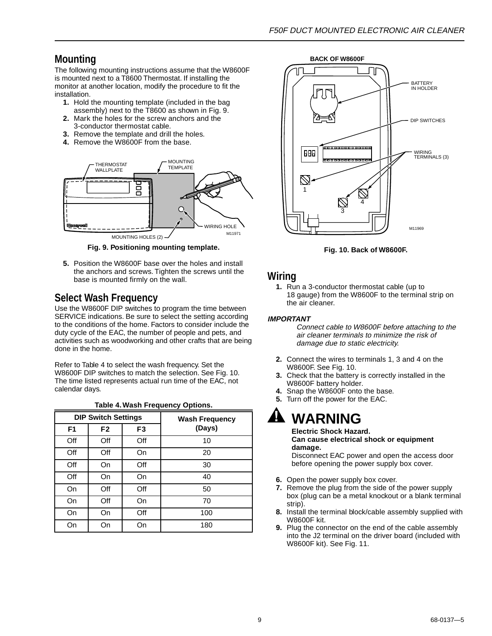# **Mounting**

The following mounting instructions assume that the W8600F is mounted next to a T8600 Thermostat. If installing the monitor at another location, modify the procedure to fit the installation.

- **1.** Hold the mounting template (included in the bag assembly) next to the T8600 as shown in Fig. 9.
- **2.** Mark the holes for the screw anchors and the 3-conductor thermostat cable.
- **3.** Remove the template and drill the holes.
- **4.** Remove the W8600F from the base.



**Fig. 9. Positioning mounting template.**

**5.** Position the W8600F base over the holes and install the anchors and screws. Tighten the screws until the base is mounted firmly on the wall.

# **Select Wash Frequency**

Use the W8600F DIP switches to program the time between SERVICE indications. Be sure to select the setting according to the conditions of the home. Factors to consider include the duty cycle of the EAC, the number of people and pets, and activities such as woodworking and other crafts that are being done in the home.

Refer to Table 4 to select the wash frequency. Set the W8600F DIP switches to match the selection. See Fig. 10. The time listed represents actual run time of the EAC, not calendar days.

#### **Table 4. Wash Frequency Options.**

|                | <b>DIP Switch Settings</b> |                | <b>Wash Frequency</b> |
|----------------|----------------------------|----------------|-----------------------|
| F <sub>1</sub> | F <sub>2</sub>             | F <sub>3</sub> | (Days)                |
| Off            | Off                        | Off            | 10                    |
| Off            | Off                        | On             | 20                    |
| Off            | On                         | Off            | 30                    |
| Off            | On                         | On             | 40                    |
| On             | Off                        | Off            | 50                    |
| On             | Off                        | On             | 70                    |
| On             | On                         | Off            | 100                   |
| On             | On                         | On             | 180                   |



**Fig. 10. Back of W8600F.**

### **Wiring**

**1.** Run a 3-conductor thermostat cable (up to 18 gauge) from the W8600F to the terminal strip on the air cleaner.

#### **IMPORTANT**

Connect cable to W8600F before attaching to the air cleaner terminals to minimize the risk of damage due to static electricity.

- **2.** Connect the wires to terminals 1, 3 and 4 on the W8600F. See Fig. 10.
- **3.** Check that the battery is correctly installed in the W8600F battery holder.
- **4.** Snap the W8600F onto the base.
- **5.** Turn off the power for the EAC.

# **WARNING**

**Electric Shock Hazard. Can cause electrical shock or equipment damage.**

Disconnect EAC power and open the access door before opening the power supply box cover.

- **6.** Open the power supply box cover.
- **7.** Remove the plug from the side of the power supply box (plug can be a metal knockout or a blank terminal strip).
- **8.** Install the terminal block/cable assembly supplied with W8600F kit.
- **9.** Plug the connector on the end of the cable assembly into the J2 terminal on the driver board (included with W8600F kit). See Fig. 11.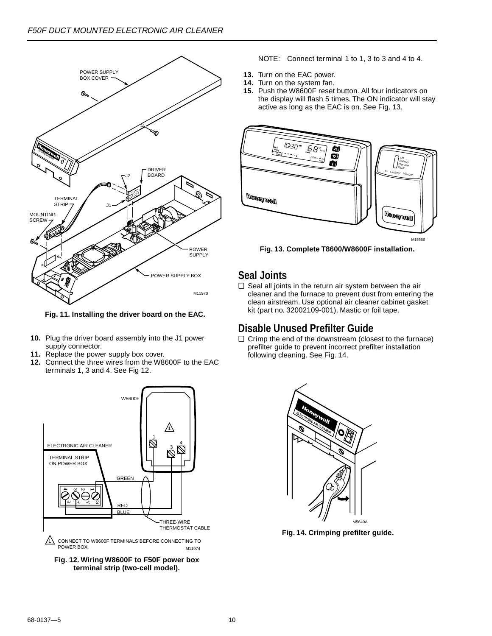

**Fig. 11. Installing the driver board on the EAC.**

- **10.** Plug the driver board assembly into the J1 power supply connector.
- **11.** Replace the power supply box cover.
- **12.** Connect the three wires from the W8600F to the EAC terminals 1, 3 and 4. See Fig 12.



**Fig. 12. Wiring W8600F to F50F power box terminal strip (two-cell model).**

- NOTE: Connect terminal 1 to 1, 3 to 3 and 4 to 4.
- **13.** Turn on the EAC power.
- **14.** Turn on the system fan.
- **15.** Push the W8600F reset button. All four indicators on the display will flash 5 times. The ON indicator will stay active as long as the EAC is on. See Fig. 13.



**Fig. 13. Complete T8600/W8600F installation.**

### **Seal Joints**

❑ Seal all joints in the return air system between the air cleaner and the furnace to prevent dust from entering the clean airstream. Use optional air cleaner cabinet gasket kit (part no. 32002109-001). Mastic or foil tape.

### **Disable Unused Prefilter Guide**

❑ Crimp the end of the downstream (closest to the furnace) prefilter guide to prevent incorrect prefilter installation following cleaning. See Fig. 14.



**Fig. 14. Crimping prefilter guide.**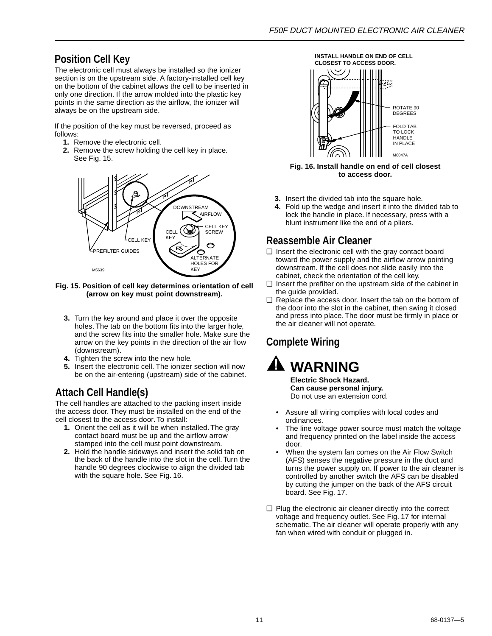# **Position Cell Key**

The electronic cell must always be installed so the ionizer section is on the upstream side. A factory-installed cell key on the bottom of the cabinet allows the cell to be inserted in only one direction. If the arrow molded into the plastic key points in the same direction as the airflow, the ionizer will always be on the upstream side.

If the position of the key must be reversed, proceed as follows:

- **1.** Remove the electronic cell.
- **2.** Remove the screw holding the cell key in place. See Fig. 15.



**Fig. 15. Position of cell key determines orientation of cell (arrow on key must point downstream).**

- **3.** Turn the key around and place it over the opposite holes. The tab on the bottom fits into the larger hole, and the screw fits into the smaller hole. Make sure the arrow on the key points in the direction of the air flow (downstream).
- **4.** Tighten the screw into the new hole.
- **5.** Insert the electronic cell. The ionizer section will now be on the air-entering (upstream) side of the cabinet.

# **Attach Cell Handle(s)**

The cell handles are attached to the packing insert inside the access door. They must be installed on the end of the cell closest to the access door. To install:

- **1.** Orient the cell as it will be when installed. The gray contact board must be up and the airflow arrow stamped into the cell must point downstream.
- **2.** Hold the handle sideways and insert the solid tab on the back of the handle into the slot in the cell. Turn the handle 90 degrees clockwise to align the divided tab with the square hole. See Fig. 16.



**Fig. 16. Install handle on end of cell closest to access door.**

- **3.** Insert the divided tab into the square hole.
- **4.** Fold up the wedge and insert it into the divided tab to lock the handle in place. If necessary, press with a blunt instrument like the end of a pliers.

### **Reassemble Air Cleaner**

- ❑ Insert the electronic cell with the gray contact board toward the power supply and the airflow arrow pointing downstream. If the cell does not slide easily into the cabinet, check the orientation of the cell key.
- ❑ Insert the prefilter on the upstream side of the cabinet in the guide provided.
- ❑ Replace the access door. Insert the tab on the bottom of the door into the slot in the cabinet, then swing it closed and press into place. The door must be firmly in place or the air cleaner will not operate.

# **Complete Wiring**

**WARNING Electric Shock Hazard.**

**Can cause personal injury.** Do not use an extension cord.

- Assure all wiring complies with local codes and ordinances.
- The line voltage power source must match the voltage and frequency printed on the label inside the access door.
- When the system fan comes on the Air Flow Switch (AFS) senses the negative pressure in the duct and turns the power supply on. If power to the air cleaner is controlled by another switch the AFS can be disabled by cutting the jumper on the back of the AFS circuit board. See Fig. 17.
- ❑ Plug the electronic air cleaner directly into the correct voltage and frequency outlet. See Fig. 17 for internal schematic. The air cleaner will operate properly with any fan when wired with conduit or plugged in.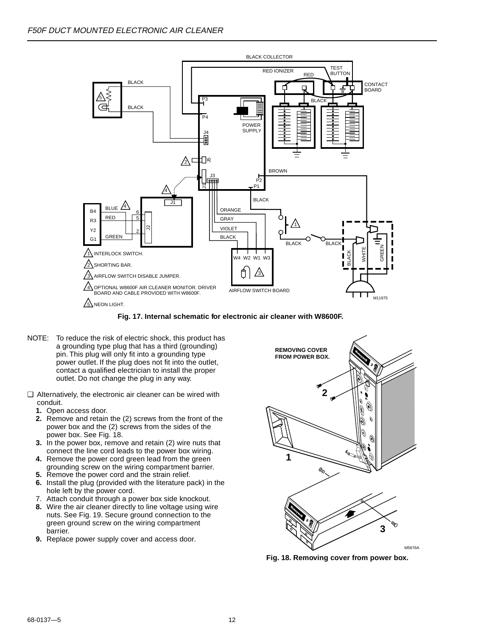

**Fig. 17. Internal schematic for electronic air cleaner with W8600F.**

- NOTE: To reduce the risk of electric shock, this product has a grounding type plug that has a third (grounding) pin. This plug will only fit into a grounding type power outlet. If the plug does not fit into the outlet, contact a qualified electrician to install the proper outlet. Do not change the plug in any way.
- ❑ Alternatively, the electronic air cleaner can be wired with conduit.
	- **1.** Open access door.
	- **2.** Remove and retain the (2) screws from the front of the power box and the (2) screws from the sides of the power box. See Fig. 18.
	- **3.** In the power box, remove and retain (2) wire nuts that connect the line cord leads to the power box wiring.
	- **4.** Remove the power cord green lead from the green grounding screw on the wiring compartment barrier.
	- **5.** Remove the power cord and the strain relief.
	- **6.** Install the plug (provided with the literature pack) in the hole left by the power cord.
	- 7. Attach conduit through a power box side knockout.
	- **8.** Wire the air cleaner directly to line voltage using wire nuts. See Fig. 19. Secure ground connection to the green ground screw on the wiring compartment barrier.
	- **9.** Replace power supply cover and access door.



**Fig. 18. Removing cover from power box.**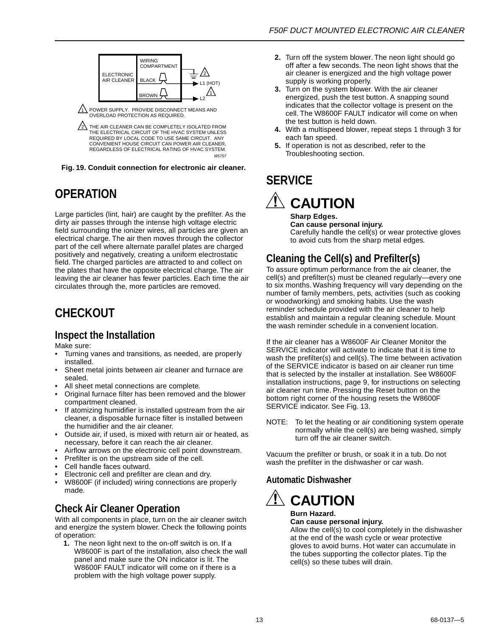<span id="page-12-0"></span>

1\ POWER SUPPLY. PROVIDE DISCONNECT MEANS AND<br>OVERLOAD PROTECTION AS REQUIRED.

2\ THE AIR CLEANER CAN BE COMPLETELY ISOLATED FROM THE ELECTRICAL CIRCUIT OF THE HVAC SYSTEM UNLESS REQUIRED BY LOCAL CODE TO USE SAME CIRCUIT. ANY CONVENIENT HOUSE CIRCUIT CAN POWER AIR CLEANER, REGARDLESS OF ELECTRICAL RATING OF HVAC SYSTEM. M5707

**Fig. 19. Conduit connection for electronic air cleaner.**

# **OPERATION**

Large particles (lint, hair) are caught by the prefilter. As the dirty air passes through the intense high voltage electric field surrounding the ionizer wires, all particles are given an electrical charge. The air then moves through the collector part of the cell where alternate parallel plates are charged positively and negatively, creating a uniform electrostatic field. The charged particles are attracted to and collect on the plates that have the opposite electrical charge. The air leaving the air cleaner has fewer particles. Each time the air circulates through the, more particles are removed.

# **CHECKOUT**

## **Inspect the Installation**

Make sure:

- Turning vanes and transitions, as needed, are properly installed.
- Sheet metal joints between air cleaner and furnace are sealed.
- All sheet metal connections are complete.
- Original furnace filter has been removed and the blower compartment cleaned.
- If atomizing humidifier is installed upstream from the air cleaner, a disposable furnace filter is installed between the humidifier and the air cleaner.
- Outside air, if used, is mixed with return air or heated, as necessary, before it can reach the air cleaner.
- Airflow arrows on the electronic cell point downstream.
- Prefilter is on the upstream side of the cell.
- Cell handle faces outward.
- Electronic cell and prefilter are clean and dry.
- W8600F (if included) wiring connections are properly made.

# **Check Air Cleaner Operation**

With all components in place, turn on the air cleaner switch and energize the system blower. Check the following points of operation:

**1.** The neon light next to the on-off switch is on. If a W8600F is part of the installation, also check the wall panel and make sure the ON indicator is lit. The W8600F FAULT indicator will come on if there is a problem with the high voltage power supply.

- **2.** Turn off the system blower. The neon light should go off after a few seconds. The neon light shows that the air cleaner is energized and the high voltage power supply is working properly.
- **3.** Turn on the system blower. With the air cleaner energized, push the test button. A snapping sound indicates that the collector voltage is present on the cell. The W8600F FAULT indicator will come on when the test button is held down.
- **4.** With a multispeed blower, repeat steps 1 through 3 for each fan speed.
- **5.** If operation is not as described, refer to the Troubleshooting section.

# **SERVICE**

 $\hat{\mathbb{A}}$  CAUTION

**Sharp Edges. Can cause personal injury.** Carefully handle the cell(s) or wear protective gloves to avoid cuts from the sharp metal edges.

# **Cleaning the Cell(s) and Prefilter(s)**

To assure optimum performance from the air cleaner, the cell(s) and prefilter(s) must be cleaned regularly—every one to six months. Washing frequency will vary depending on the number of family members, pets, activities (such as cooking or woodworking) and smoking habits. Use the wash reminder schedule provided with the air cleaner to help establish and maintain a regular cleaning schedule. Mount the wash reminder schedule in a convenient location.

If the air cleaner has a W8600F Air Cleaner Monitor the SERVICE indicator will activate to indicate that it is time to wash the prefilter(s) and cell(s). The time between activation of the SERVICE indicator is based on air cleaner run time that is selected by the installer at installation. See W8600F installation instructions, page 9, for instructions on selecting air cleaner run time. Pressing the Reset button on the bottom right corner of the housing resets the W8600F SERVICE indicator. See Fig. 13.

NOTE: To let the heating or air conditioning system operate normally while the cell(s) are being washed, simply turn off the air cleaner switch.

Vacuum the prefilter or brush, or soak it in a tub. Do not wash the prefilter in the dishwasher or car wash.

## **Automatic Dishwasher**



### **Can cause personal injury.**

Allow the cell(s) to cool completely in the dishwasher at the end of the wash cycle or wear protective gloves to avoid burns. Hot water can accumulate in the tubes supporting the collector plates. Tip the cell(s) so these tubes will drain.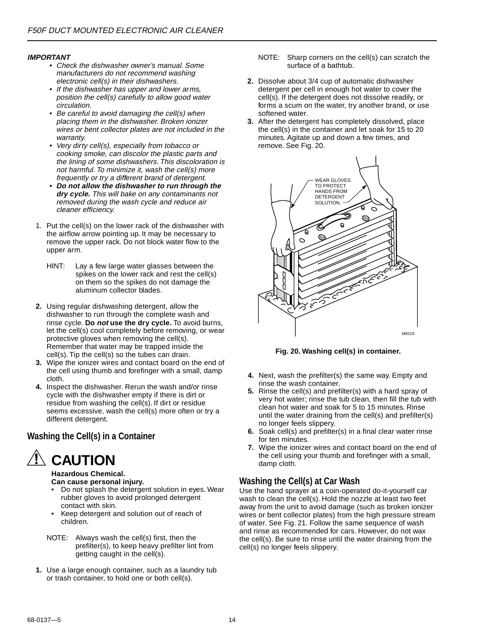#### **IMPORTANT**

- Check the dishwasher owner's manual. Some manufacturers do not recommend washing electronic cell(s) in their dishwashers.
- If the dishwasher has upper and lower arms, position the cell(s) carefully to allow good water circulation.
- Be careful to avoid damaging the cell(s) when placing them in the dishwasher. Broken ionizer wires or bent collector plates are not included in the warranty.
- Very dirty cell(s), especially from tobacco or cooking smoke, can discolor the plastic parts and the lining of some dishwashers. This discoloration is not harmful. To minimize it, wash the cell(s) more frequently or try a different brand of detergent.
- • **Do not allow the dishwasher to run through the dry cycle.** This will bake on any contaminants not removed during the wash cycle and reduce air cleaner efficiency.
- 1. Put the cell(s) on the lower rack of the dishwasher with the airflow arrow pointing up. It may be necessary to remove the upper rack. Do not block water flow to the upper arm.
	- HINT: Lay a few large water glasses between the spikes on the lower rack and rest the cell(s) on them so the spikes do not damage the aluminum collector blades.
- **2.** Using regular dishwashing detergent, allow the dishwasher to run through the complete wash and rinse cycle. **Do not use the dry cycle.** To avoid burns, let the cell(s) cool completely before removing, or wear protective gloves when removing the cell(s). Remember that water may be trapped inside the cell(s). Tip the cell(s) so the tubes can drain.
- **3.** Wipe the ionizer wires and contact board on the end of the cell using thumb and forefinger with a small, damp cloth.
- **4.** Inspect the dishwasher. Rerun the wash and/or rinse cycle with the dishwasher empty if there is dirt or residue from washing the cell(s). If dirt or residue seems excessive, wash the cell(s) more often or try a different detergent.

#### **Washing the Cell(s) in a Container**



**Hazardous Chemical. Can cause personal injury.**

- Do not splash the detergent solution in eyes. Wear rubber gloves to avoid prolonged detergent contact with skin.
- Keep detergent and solution out of reach of children.
- NOTE: Always wash the cell(s) first, then the prefilter(s), to keep heavy prefilter lint from getting caught in the cell(s).
- **1.** Use a large enough container, such as a laundry tub or trash container, to hold one or both cell(s).
- NOTE: Sharp corners on the cell(s) can scratch the surface of a bathtub.
- **2.** Dissolve about 3/4 cup of automatic dishwasher detergent per cell in enough hot water to cover the cell(s). If the detergent does not dissolve readily, or forms a scum on the water, try another brand, or use softened water.
- **3.** After the detergent has completely dissolved, place the cell(s) in the container and let soak for 15 to 20 minutes. Agitate up and down a few times, and remove. See Fig. 20.



**Fig. 20. Washing cell(s) in container.**

- **4.** Next, wash the prefilter(s) the same way. Empty and rinse the wash container.
- **5.** Rinse the cell(s) and prefilter(s) with a hard spray of very hot water; rinse the tub clean, then fill the tub with clean hot water and soak for 5 to 15 minutes. Rinse until the water draining from the cell(s) and prefilter(s) no longer feels slippery.
- **6.** Soak cell(s) and prefilter(s) in a final clear water rinse for ten minutes.
- **7.** Wipe the ionizer wires and contact board on the end of the cell using your thumb and forefinger with a small, damp cloth.

#### **Washing the Cell(s) at Car Wash**

Use the hand sprayer at a coin-operated do-it-yourself car wash to clean the cell(s). Hold the nozzle at least two feet away from the unit to avoid damage (such as broken ionizer wires or bent collector plates) from the high pressure stream of water. See Fig. 21. Follow the same sequence of wash and rinse as recommended for cars. However, do not wax the cell(s). Be sure to rinse until the water draining from the cell(s) no longer feels slippery.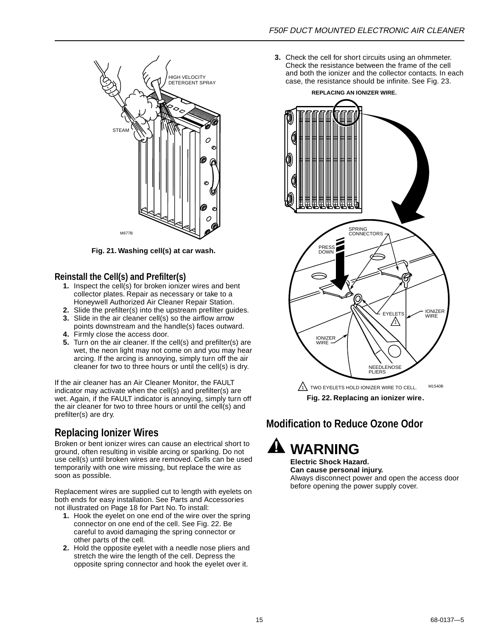

**Fig. 21. Washing cell(s) at car wash.**

#### **Reinstall the Cell(s) and Prefilter(s)**

- **1.** Inspect the cell(s) for broken ionizer wires and bent collector plates. Repair as necessary or take to a Honeywell Authorized Air Cleaner Repair Station.
- **2.** Slide the prefilter(s) into the upstream prefilter guides.
- **3.** Slide in the air cleaner cell(s) so the airflow arrow points downstream and the handle(s) faces outward.
- **4.** Firmly close the access door.
- **5.** Turn on the air cleaner. If the cell(s) and prefilter(s) are wet, the neon light may not come on and you may hear arcing. If the arcing is annoying, simply turn off the air cleaner for two to three hours or until the cell(s) is dry.

If the air cleaner has an Air Cleaner Monitor, the FAULT indicator may activate when the cell(s) and prefilter(s) are wet. Again, if the FAULT indicator is annoying, simply turn off the air cleaner for two to three hours or until the cell(s) and prefilter(s) are dry.

# **Replacing Ionizer Wires**

Broken or bent ionizer wires can cause an electrical short to ground, often resulting in visible arcing or sparking. Do not use cell(s) until broken wires are removed. Cells can be used temporarily with one wire missing, but replace the wire as soon as possible.

Replacement wires are supplied cut to length with eyelets on both ends for easy installation. See Parts and Accessories not illustrated on Page 18 for Part No. To install:

- **1.** Hook the eyelet on one end of the wire over the spring connector on one end of the cell. See Fig. 22. Be careful to avoid damaging the spring connector or other parts of the cell.
- **2.** Hold the opposite eyelet with a needle nose pliers and stretch the wire the length of the cell. Depress the opposite spring connector and hook the eyelet over it.

**3.** Check the cell for short circuits using an ohmmeter. Check the resistance between the frame of the cell and both the ionizer and the collector contacts. In each HIGH VELOCITY<br>DETERGENT SPRAY **Case, the resistance should be infinite. See Fig. 23.** HIGH VELOCITY

**REPLACING AN IONIZER WIRE.**



**Fig. 22. Replacing an ionizer wire.**

# **Modification to Reduce Ozone Odor**



**Electric Shock Hazard. Can cause personal injury.** Always disconnect power and open the access door before opening the power supply cover.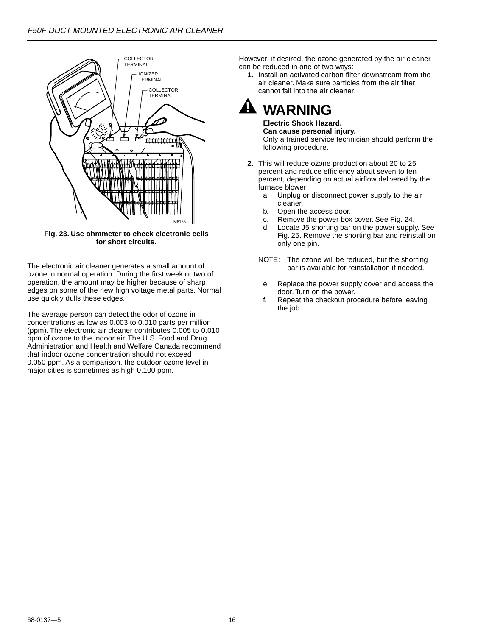

**Fig. 23. Use ohmmeter to check electronic cells for short circuits.**

The electronic air cleaner generates a small amount of ozone in normal operation. During the first week or two of operation, the amount may be higher because of sharp edges on some of the new high voltage metal parts. Normal use quickly dulls these edges.

The average person can detect the odor of ozone in concentrations as low as 0.003 to 0.010 parts per million (ppm). The electronic air cleaner contributes 0.005 to 0.010 ppm of ozone to the indoor air. The U.S. Food and Drug Administration and Health and Welfare Canada recommend that indoor ozone concentration should not exceed 0.050 ppm. As a comparison, the outdoor ozone level in major cities is sometimes as high 0.100 ppm.

However, if desired, the ozone generated by the air cleaner can be reduced in one of two ways:

**1.** Install an activated carbon filter downstream from the air cleaner. Make sure particles from the air filter cannot fall into the air cleaner.

# **WARNING**

**Electric Shock Hazard. Can cause personal injury.** Only a trained service technician should perform the following procedure.

- **2.** This will reduce ozone production about 20 to 25 percent and reduce efficiency about seven to ten percent, depending on actual airflow delivered by the furnace blower.
	- a. Unplug or disconnect power supply to the air cleaner.
	- b. Open the access door.
	- c. Remove the power box cover. See Fig. 24.
	- d. Locate J5 shorting bar on the power supply. See Fig. 25. Remove the shorting bar and reinstall on only one pin.
	- NOTE: The ozone will be reduced, but the shorting bar is available for reinstallation if needed.
	- e. Replace the power supply cover and access the door. Turn on the power.
	- f. Repeat the checkout procedure before leaving the job.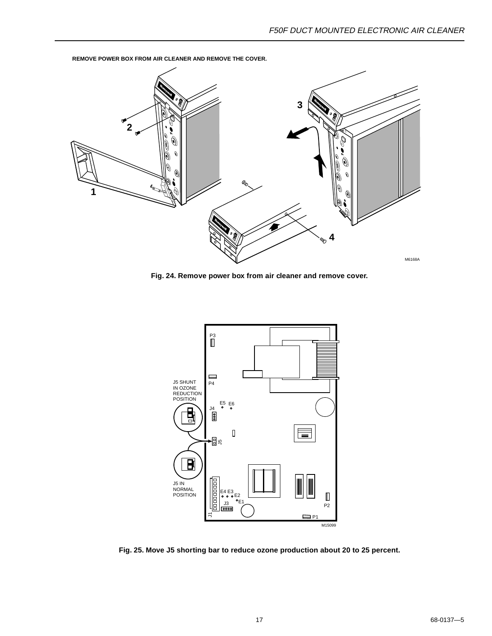

<span id="page-16-0"></span>**REMOVE POWER BOX FROM AIR CLEANER AND REMOVE THE COVER.**

**Fig. 24. Remove power box from air cleaner and remove cover.**



**Fig. 25. Move J5 shorting bar to reduce ozone production about 20 to 25 percent.**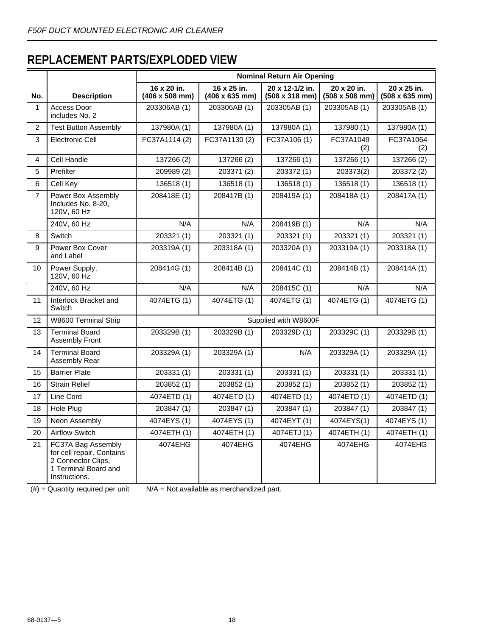# **REPLACEMENT PARTS/EXPLODED VIEW**

|                |                                                                                                                | <b>Nominal Return Air Opening</b>            |                                              |                                                  |                                              |                                              |  |  |  |
|----------------|----------------------------------------------------------------------------------------------------------------|----------------------------------------------|----------------------------------------------|--------------------------------------------------|----------------------------------------------|----------------------------------------------|--|--|--|
| No.            | <b>Description</b>                                                                                             | 16 x 20 in.<br>$(406 \times 508 \text{ mm})$ | 16 x 25 in.<br>$(406 \times 635 \text{ mm})$ | 20 x 12-1/2 in.<br>$(508 \times 318 \text{ mm})$ | 20 x 20 in.<br>$(508 \times 508 \text{ mm})$ | 20 x 25 in.<br>$(508 \times 635 \text{ mm})$ |  |  |  |
| $\mathbf{1}$   | Access Door<br>includes No. 2                                                                                  | 203306AB (1)                                 | 203306AB (1)                                 | 203305AB (1)                                     | 203305AB (1)                                 | 203305AB (1)                                 |  |  |  |
| $\overline{2}$ | <b>Test Button Assembly</b>                                                                                    | 137980A (1)                                  | 137980A (1)                                  | 137980A (1)                                      | 137980 (1)                                   | 137980A (1)                                  |  |  |  |
| 3              | <b>Electronic Cell</b>                                                                                         | FC37A1114 (2)                                | FC37A1130 (2)                                | FC37A106 (1)                                     | FC37A1049<br>(2)                             | FC37A1064<br>(2)                             |  |  |  |
| 4              | Cell Handle                                                                                                    | 137266 (2)                                   | 137266 (2)                                   | 137266 (1)                                       | 137266 (1)                                   | 137266 (2)                                   |  |  |  |
| 5              | Prefilter                                                                                                      | 209989 (2)                                   | 203371 (2)                                   | 203372 (1)                                       | 203373(2)                                    | 203372 (2)                                   |  |  |  |
| 6              | Cell Key                                                                                                       | 136518 (1)                                   | 136518 (1)                                   | 136518(1)                                        | 136518 (1)                                   | 136518 (1)                                   |  |  |  |
| $\overline{7}$ | Power Box Assembly<br>Includes No. 8-20,<br>120V, 60 Hz                                                        | 208418E (1)                                  | 208417B (1)                                  | 208419A (1)                                      | 208418A (1)                                  | 208417A (1)                                  |  |  |  |
|                | 240V, 60 Hz                                                                                                    | N/A                                          | N/A                                          | 208419B (1)                                      | N/A                                          | N/A                                          |  |  |  |
| 8              | Switch                                                                                                         | 203321 (1)                                   | 203321 (1)                                   | 203321 (1)                                       | 203321 (1)                                   | 203321 (1)                                   |  |  |  |
| 9              | Power Box Cover<br>and Label                                                                                   | 203319A (1)                                  | 203318A (1)                                  | 203320A (1)                                      | 203319A (1)                                  | 203318A (1)                                  |  |  |  |
| 10             | Power Supply,<br>120V, 60 Hz                                                                                   | 208414G (1)                                  | 208414B (1)                                  | 208414C (1)                                      | 208414B (1)                                  | 208414A (1)                                  |  |  |  |
|                | 240V, 60 Hz                                                                                                    | N/A                                          | N/A                                          | 208415C (1)                                      | N/A                                          | N/A                                          |  |  |  |
| 11             | Interlock Bracket and<br>Switch                                                                                | 4074ETG (1)                                  | 4074ETG (1)                                  | 4074ETG (1)                                      | 4074ETG (1)                                  | 4074ETG (1)                                  |  |  |  |
| 12             | W8600 Terminal Strip                                                                                           |                                              |                                              | Supplied with W8600F                             |                                              |                                              |  |  |  |
| 13             | <b>Terminal Board</b><br><b>Assembly Front</b>                                                                 | 203329B (1)                                  | 203329B (1)                                  | 203329D (1)                                      | 203329C (1)                                  | 203329B (1)                                  |  |  |  |
| 14             | <b>Terminal Board</b><br>Assembly Rear                                                                         | 203329A (1)                                  | 203329A (1)                                  | N/A                                              | 203329A (1)                                  | 203329A (1)                                  |  |  |  |
| 15             | <b>Barrier Plate</b>                                                                                           | 203331 (1)                                   | 203331 (1)                                   | 203331 (1)                                       | 203331 (1)                                   | 203331 (1)                                   |  |  |  |
| 16             | <b>Strain Relief</b>                                                                                           | 203852 (1)                                   | 203852 (1)                                   | 203852 (1)                                       | 203852 (1)                                   | 203852 (1)                                   |  |  |  |
| 17             | Line Cord                                                                                                      | 4074ETD (1)                                  | 4074ETD (1)                                  | 4074ETD (1)                                      | 4074ETD (1)                                  | 4074ETD (1)                                  |  |  |  |
| 18             | Hole Plug                                                                                                      | 203847 (1)                                   | 203847 (1)                                   | 203847 (1)                                       | 203847 (1)                                   | 203847 (1)                                   |  |  |  |
| 19             | Neon Assembly                                                                                                  | 4074EYS (1)                                  | 4074EYS (1)                                  | 4074EYT (1)                                      | 4074EYS(1)                                   | 4074EYS (1)                                  |  |  |  |
| 20             | <b>Airflow Switch</b>                                                                                          | 4074ETH (1)                                  | 4074ETH (1)                                  | 4074ETJ (1)                                      | 4074ETH (1)                                  | 4074ETH (1)                                  |  |  |  |
| 21             | FC37A Bag Assembly<br>for cell repair. Contains<br>2 Connector Clips,<br>1 Terminal Board and<br>Instructions. | 4074EHG                                      | 4074EHG                                      | 4074EHG                                          | 4074EHG                                      | 4074EHG                                      |  |  |  |

 $(#)$  = Quantity required per unit  $N/A$  = Not available as merchandized part.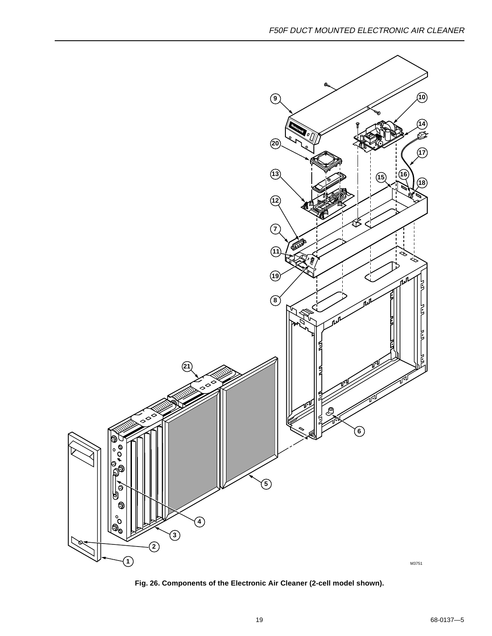

**Fig. 26. Components of the Electronic Air Cleaner (2-cell model shown).**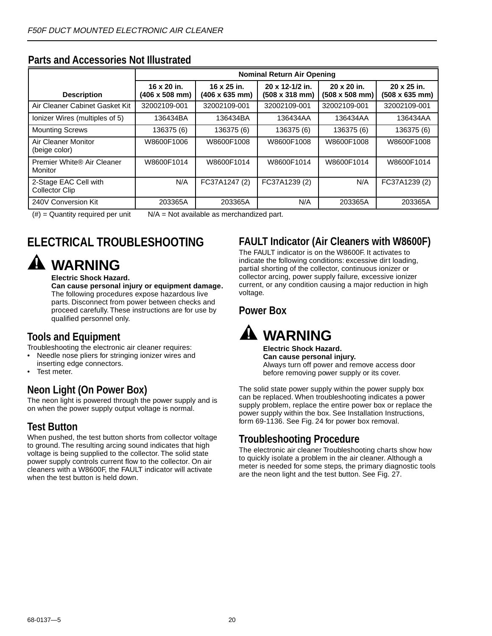|                                                | <b>Nominal Return Air Opening</b>            |                                              |                                                  |                                              |                               |  |  |  |  |
|------------------------------------------------|----------------------------------------------|----------------------------------------------|--------------------------------------------------|----------------------------------------------|-------------------------------|--|--|--|--|
| <b>Description</b>                             | 16 x 20 in.<br>$(406 \times 508 \text{ mm})$ | 16 x 25 in.<br>$(406 \times 635 \text{ mm})$ | 20 x 12-1/2 in.<br>$(508 \times 318 \text{ mm})$ | 20 x 20 in.<br>$(508 \times 508 \text{ mm})$ | 20 x 25 in.<br>(508 x 635 mm) |  |  |  |  |
| Air Cleaner Cabinet Gasket Kit                 | 32002109-001                                 | 32002109-001                                 | 32002109-001                                     | 32002109-001                                 | 32002109-001                  |  |  |  |  |
| Ionizer Wires (multiples of 5)                 | 136434BA                                     | 136434BA                                     | 136434AA                                         | 136434AA                                     | 136434AA                      |  |  |  |  |
| <b>Mounting Screws</b>                         | 136375 (6)                                   | 136375 (6)                                   | 136375 (6)                                       | 136375 (6)                                   | 136375 (6)                    |  |  |  |  |
| Air Cleaner Monitor<br>(beige color)           | W8600F1006                                   | W8600F1008                                   | W8600F1008                                       | W8600F1008                                   | W8600F1008                    |  |  |  |  |
| Premier White® Air Cleaner<br>Monitor          | W8600F1014                                   | W8600F1014                                   | W8600F1014                                       | W8600F1014                                   | W8600F1014                    |  |  |  |  |
| 2-Stage EAC Cell with<br><b>Collector Clip</b> | N/A                                          | FC37A1247 (2)                                | FC37A1239 (2)                                    | N/A                                          | FC37A1239 (2)                 |  |  |  |  |
| 240V Conversion Kit                            | 203365A                                      | 203365A                                      | N/A                                              | 203365A                                      | 203365A                       |  |  |  |  |

### <span id="page-19-0"></span>**Parts and Accessories Not Illustrated**

 $(\#)$  = Quantity required per unit  $N/A$  = Not available as merchandized part.

# **ELECTRICAL TROUBLESHOOTING**

# **WARNING**

#### **Electric Shock Hazard.**

**Can cause personal injury or equipment damage.** The following procedures expose hazardous live parts. Disconnect from power between checks and proceed carefully. These instructions are for use by qualified personnel only.

# **Tools and Equipment**

Troubleshooting the electronic air cleaner requires:

- Needle nose pliers for stringing ionizer wires and
- inserting edge connectors. Test meter.

# **Neon Light (On Power Box)**

The neon light is powered through the power supply and is on when the power supply output voltage is normal.

## **Test Button**

When pushed, the test button shorts from collector voltage to ground. The resulting arcing sound indicates that high voltage is being supplied to the collector. The solid state power supply controls current flow to the collector. On air cleaners with a W8600F, the FAULT indicator will activate when the test button is held down.

# **FAULT Indicator (Air Cleaners with W8600F)**

The FAULT indicator is on the W8600F. It activates to indicate the following conditions: excessive dirt loading, partial shorting of the collector, continuous ionizer or collector arcing, power supply failure, excessive ionizer current, or any condition causing a major reduction in high voltage.

### **Power Box**



**Electric Shock Hazard. Can cause personal injury.** Always turn off power and remove access door before removing power supply or its cover.

The solid state power supply within the power supply box can be replaced. When troubleshooting indicates a power supply problem, replace the entire power box or replace the power supply within the box. See Installation Instructions, form 69-1136. See Fig. 24 for power box removal.

## **Troubleshooting Procedure**

The electronic air cleaner Troubleshooting charts show how to quickly isolate a problem in the air cleaner. Although a meter is needed for some steps, the primary diagnostic tools are the neon light and the test button. See Fig. 27.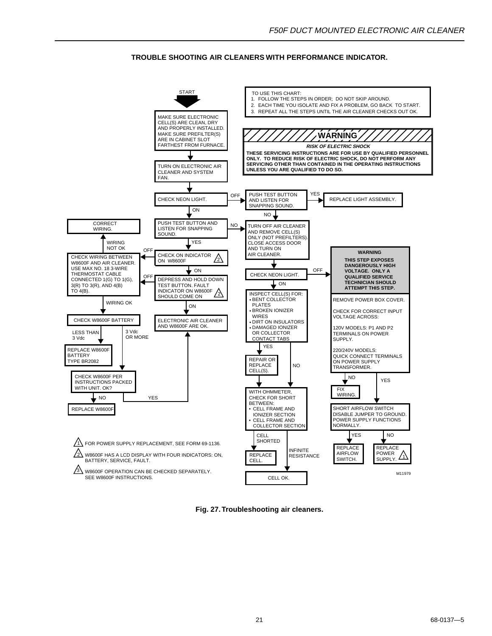#### **TROUBLE SHOOTING AIR CLEANERS WITH PERFORMANCE INDICATOR.**



**Fig. 27. Troubleshooting air cleaners.**